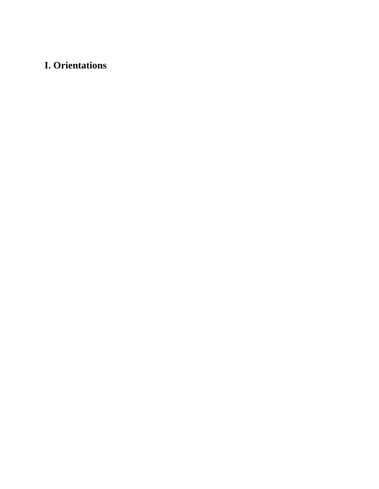# **I. Orientations**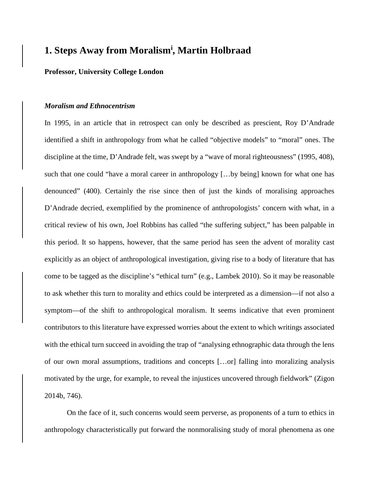# **1. Steps Away from Moralism<sup>i</sup> , Martin Holbraad**

## **Professor, University College London**

#### *Moralism and Ethnocentrism*

In 1995, in an article that in retrospect can only be described as prescient, Roy D'Andrade identified a shift in anthropology from what he called "objective models" to "moral" ones. The discipline at the time, D'Andrade felt, was swept by a "wave of moral righteousness" (1995, 408), such that one could "have a moral career in anthropology […by being] known for what one has denounced" (400). Certainly the rise since then of just the kinds of moralising approaches D'Andrade decried, exemplified by the prominence of anthropologists' concern with what, in a critical review of his own, Joel Robbins has called "the suffering subject," has been palpable in this period. It so happens, however, that the same period has seen the advent of morality cast explicitly as an object of anthropological investigation, giving rise to a body of literature that has come to be tagged as the discipline's "ethical turn" (e.g., Lambek 2010). So it may be reasonable to ask whether this turn to morality and ethics could be interpreted as a dimension—if not also a symptom—of the shift to anthropological moralism. It seems indicative that even prominent contributors to this literature have expressed worries about the extent to which writings associated with the ethical turn succeed in avoiding the trap of "analysing ethnographic data through the lens of our own moral assumptions, traditions and concepts […or] falling into moralizing analysis motivated by the urge, for example, to reveal the injustices uncovered through fieldwork" (Zigon 2014b, 746).

On the face of it, such concerns would seem perverse, as proponents of a turn to ethics in anthropology characteristically put forward the nonmoralising study of moral phenomena as one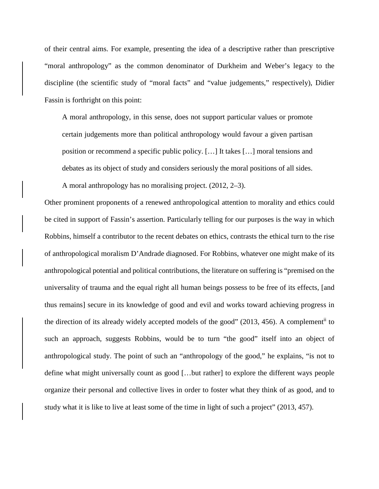of their central aims. For example, presenting the idea of a descriptive rather than prescriptive "moral anthropology" as the common denominator of Durkheim and Weber's legacy to the discipline (the scientific study of "moral facts" and "value judgements," respectively), Didier Fassin is forthright on this point:

A moral anthropology, in this sense, does not support particular values or promote certain judgements more than political anthropology would favour a given partisan position or recommend a specific public policy. […] It takes […] moral tensions and debates as its object of study and considers seriously the moral positions of all sides.

A moral anthropology has no moralising project. (2012, 2–3).

Other prominent proponents of a renewed anthropological attention to morality and ethics could be cited in support of Fassin's assertion. Particularly telling for our purposes is the way in which Robbins, himself a contributor to the recent debates on ethics, contrasts the ethical turn to the rise of anthropological moralism D'Andrade diagnosed. For Robbins, whatever one might make of its anthropological potential and political contributions, the literature on suffering is "premised on the universality of trauma and the equal right all human beings possess to be free of its effects, [and thus remains] secure in its knowledge of good and evil and works toward achieving progress in the direction of its already widely accepted models of the good" (2013, 456). A complementii to such an approach, suggests Robbins, would be to turn "the good" itself into an object of anthropological study. The point of such an "anthropology of the good," he explains, "is not to define what might universally count as good […but rather] to explore the different ways people organize their personal and collective lives in order to foster what they think of as good, and to study what it is like to live at least some of the time in light of such a project" (2013, 457).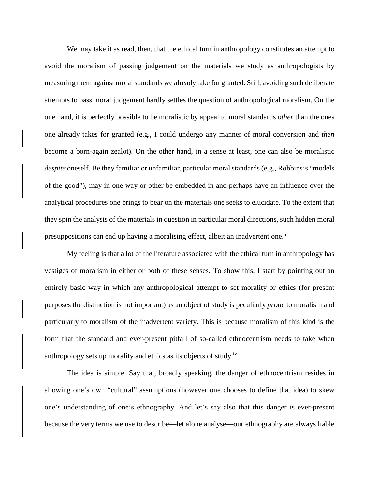We may take it as read, then, that the ethical turn in anthropology constitutes an attempt to avoid the moralism of passing judgement on the materials we study as anthropologists by measuring them against moral standards we already take for granted. Still, avoiding such deliberate attempts to pass moral judgement hardly settles the question of anthropological moralism. On the one hand, it is perfectly possible to be moralistic by appeal to moral standards *other* than the ones one already takes for granted (e.g., I could undergo any manner of moral conversion and *then* become a born-again zealot). On the other hand, in a sense at least, one can also be moralistic *despite* oneself. Be they familiar or unfamiliar, particular moral standards (e.g., Robbins's "models of the good"), may in one way or other be embedded in and perhaps have an influence over the analytical procedures one brings to bear on the materials one seeks to elucidate. To the extent that they spin the analysis of the materials in question in particular moral directions, such hidden moral presuppositions can end up having a moralising effect, albeit an inadvertent one.<sup>iii</sup>

My feeling is that a lot of the literature associated with the ethical turn in anthropology has vestiges of moralism in either or both of these senses. To show this, I start by pointing out an entirely basic way in which any anthropological attempt to set morality or ethics (for present purposes the distinction is not important) as an object of study is peculiarly *prone* to moralism and particularly to moralism of the inadvertent variety. This is because moralism of this kind is the form that the standard and ever-present pitfall of so-called ethnocentrism needs to take when anthropology sets up morality and ethics as its objects of study.<sup>iv</sup>

The idea is simple. Say that, broadly speaking, the danger of ethnocentrism resides in allowing one's own "cultural" assumptions (however one chooses to define that idea) to skew one's understanding of one's ethnography. And let's say also that this danger is ever-present because the very terms we use to describe—let alone analyse—our ethnography are always liable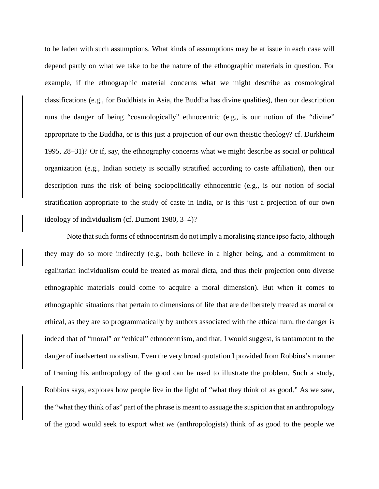to be laden with such assumptions. What kinds of assumptions may be at issue in each case will depend partly on what we take to be the nature of the ethnographic materials in question. For example, if the ethnographic material concerns what we might describe as cosmological classifications (e.g., for Buddhists in Asia, the Buddha has divine qualities), then our description runs the danger of being "cosmologically" ethnocentric (e.g., is our notion of the "divine" appropriate to the Buddha, or is this just a projection of our own theistic theology? cf. Durkheim 1995, 28–31)? Or if, say, the ethnography concerns what we might describe as social or political organization (e.g., Indian society is socially stratified according to caste affiliation), then our description runs the risk of being sociopolitically ethnocentric (e.g., is our notion of social stratification appropriate to the study of caste in India, or is this just a projection of our own ideology of individualism (cf. Dumont 1980, 3–4)?

Note that such forms of ethnocentrism do not imply a moralising stance ipso facto, although they may do so more indirectly (e.g., both believe in a higher being, and a commitment to egalitarian individualism could be treated as moral dicta, and thus their projection onto diverse ethnographic materials could come to acquire a moral dimension). But when it comes to ethnographic situations that pertain to dimensions of life that are deliberately treated as moral or ethical, as they are so programmatically by authors associated with the ethical turn, the danger is indeed that of "moral" or "ethical" ethnocentrism, and that, I would suggest, is tantamount to the danger of inadvertent moralism. Even the very broad quotation I provided from Robbins's manner of framing his anthropology of the good can be used to illustrate the problem. Such a study, Robbins says, explores how people live in the light of "what they think of as good." As we saw, the "what they think of as" part of the phrase is meant to assuage the suspicion that an anthropology of the good would seek to export what *we* (anthropologists) think of as good to the people we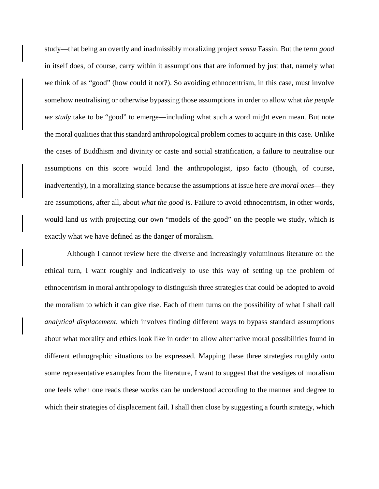study—that being an overtly and inadmissibly moralizing project *sensu* Fassin. But the term *good* in itself does, of course, carry within it assumptions that are informed by just that, namely what *we* think of as "good" (how could it not?). So avoiding ethnocentrism, in this case, must involve somehow neutralising or otherwise bypassing those assumptions in order to allow what *the people we study* take to be "good" to emerge—including what such a word might even mean. But note the moral qualities that this standard anthropological problem comes to acquire in this case. Unlike the cases of Buddhism and divinity or caste and social stratification, a failure to neutralise our assumptions on this score would land the anthropologist, ipso facto (though, of course, inadvertently), in a moralizing stance because the assumptions at issue here *are moral ones*—they are assumptions, after all, about *what the good is*. Failure to avoid ethnocentrism, in other words, would land us with projecting our own "models of the good" on the people we study, which is exactly what we have defined as the danger of moralism.

Although I cannot review here the diverse and increasingly voluminous literature on the ethical turn, I want roughly and indicatively to use this way of setting up the problem of ethnocentrism in moral anthropology to distinguish three strategies that could be adopted to avoid the moralism to which it can give rise. Each of them turns on the possibility of what I shall call *analytical displacement*, which involves finding different ways to bypass standard assumptions about what morality and ethics look like in order to allow alternative moral possibilities found in different ethnographic situations to be expressed. Mapping these three strategies roughly onto some representative examples from the literature, I want to suggest that the vestiges of moralism one feels when one reads these works can be understood according to the manner and degree to which their strategies of displacement fail. I shall then close by suggesting a fourth strategy, which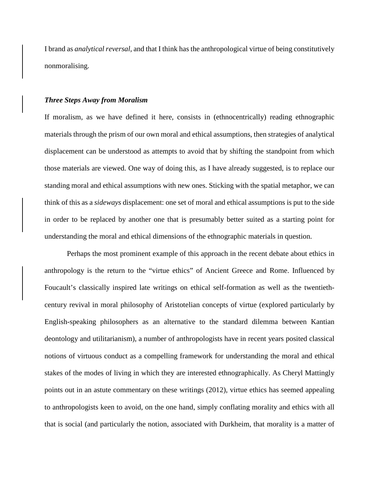I brand as *analytical reversal*, and that I think has the anthropological virtue of being constitutively nonmoralising.

#### *Three Steps Away from Moralism*

If moralism, as we have defined it here, consists in (ethnocentrically) reading ethnographic materials through the prism of our own moral and ethical assumptions, then strategies of analytical displacement can be understood as attempts to avoid that by shifting the standpoint from which those materials are viewed. One way of doing this, as I have already suggested, is to replace our standing moral and ethical assumptions with new ones. Sticking with the spatial metaphor, we can think of this as a *sideways* displacement: one set of moral and ethical assumptions is put to the side in order to be replaced by another one that is presumably better suited as a starting point for understanding the moral and ethical dimensions of the ethnographic materials in question.

Perhaps the most prominent example of this approach in the recent debate about ethics in anthropology is the return to the "virtue ethics" of Ancient Greece and Rome. Influenced by Foucault's classically inspired late writings on ethical self-formation as well as the twentiethcentury revival in moral philosophy of Aristotelian concepts of virtue (explored particularly by English-speaking philosophers as an alternative to the standard dilemma between Kantian deontology and utilitarianism), a number of anthropologists have in recent years posited classical notions of virtuous conduct as a compelling framework for understanding the moral and ethical stakes of the modes of living in which they are interested ethnographically. As Cheryl Mattingly points out in an astute commentary on these writings (2012), virtue ethics has seemed appealing to anthropologists keen to avoid, on the one hand, simply conflating morality and ethics with all that is social (and particularly the notion, associated with Durkheim, that morality is a matter of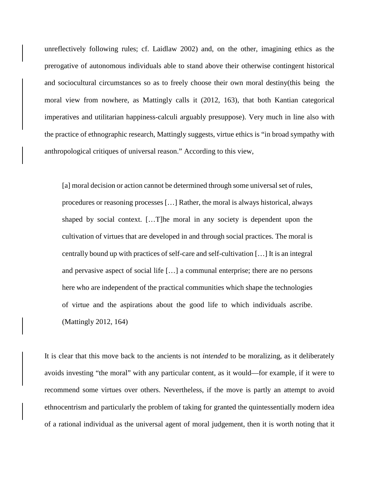unreflectively following rules; cf. Laidlaw 2002) and, on the other, imagining ethics as the prerogative of autonomous individuals able to stand above their otherwise contingent historical and sociocultural circumstances so as to freely choose their own moral destiny(this being the moral view from nowhere, as Mattingly calls it (2012, 163), that both Kantian categorical imperatives and utilitarian happiness-calculi arguably presuppose). Very much in line also with the practice of ethnographic research, Mattingly suggests, virtue ethics is "in broad sympathy with anthropological critiques of universal reason." According to this view,

[a] moral decision or action cannot be determined through some universal set of rules, procedures or reasoning processes […] Rather, the moral is always historical, always shaped by social context. […T]he moral in any society is dependent upon the cultivation of virtues that are developed in and through social practices. The moral is centrally bound up with practices of self-care and self-cultivation […] It is an integral and pervasive aspect of social life […] a communal enterprise; there are no persons here who are independent of the practical communities which shape the technologies of virtue and the aspirations about the good life to which individuals ascribe. (Mattingly 2012, 164)

It is clear that this move back to the ancients is not *intended* to be moralizing, as it deliberately avoids investing "the moral" with any particular content, as it would—for example, if it were to recommend some virtues over others. Nevertheless, if the move is partly an attempt to avoid ethnocentrism and particularly the problem of taking for granted the quintessentially modern idea of a rational individual as the universal agent of moral judgement, then it is worth noting that it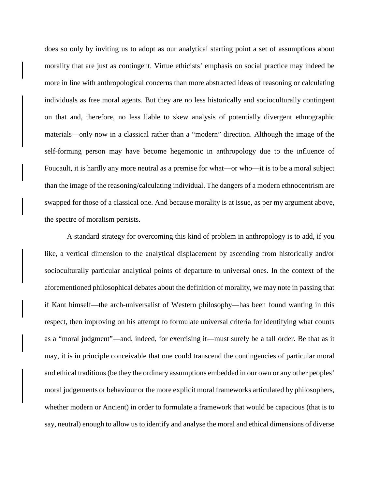does so only by inviting us to adopt as our analytical starting point a set of assumptions about morality that are just as contingent. Virtue ethicists' emphasis on social practice may indeed be more in line with anthropological concerns than more abstracted ideas of reasoning or calculating individuals as free moral agents. But they are no less historically and socioculturally contingent on that and, therefore, no less liable to skew analysis of potentially divergent ethnographic materials—only now in a classical rather than a "modern" direction. Although the image of the self-forming person may have become hegemonic in anthropology due to the influence of Foucault, it is hardly any more neutral as a premise for what—or who—it is to be a moral subject than the image of the reasoning/calculating individual. The dangers of a modern ethnocentrism are swapped for those of a classical one. And because morality is at issue, as per my argument above, the spectre of moralism persists.

A standard strategy for overcoming this kind of problem in anthropology is to add, if you like, a vertical dimension to the analytical displacement by ascending from historically and/or socioculturally particular analytical points of departure to universal ones. In the context of the aforementioned philosophical debates about the definition of morality, we may note in passing that if Kant himself—the arch-universalist of Western philosophy—has been found wanting in this respect, then improving on his attempt to formulate universal criteria for identifying what counts as a "moral judgment"—and, indeed, for exercising it—must surely be a tall order. Be that as it may, it is in principle conceivable that one could transcend the contingencies of particular moral and ethical traditions (be they the ordinary assumptions embedded in our own or any other peoples' moral judgements or behaviour or the more explicit moral frameworks articulated by philosophers, whether modern or Ancient) in order to formulate a framework that would be capacious (that is to say, neutral) enough to allow us to identify and analyse the moral and ethical dimensions of diverse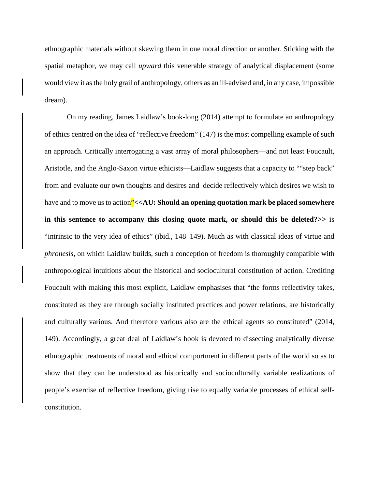ethnographic materials without skewing them in one moral direction or another. Sticking with the spatial metaphor, we may call *upward* this venerable strategy of analytical displacement (some would view it as the holy grail of anthropology, others as an ill-advised and, in any case, impossible dream).

On my reading, James Laidlaw's book-long (2014) attempt to formulate an anthropology of ethics centred on the idea of "reflective freedom" (147) is the most compelling example of such an approach. Critically interrogating a vast array of moral philosophers—and not least Foucault, Aristotle, and the Anglo-Saxon virtue ethicists—Laidlaw suggests that a capacity to ""step back" from and evaluate our own thoughts and desires and decide reflectively which desires we wish to have and to move us to action<sup>"</sup><<AU: Should an opening quotation mark be placed somewhere **in this sentence to accompany this closing quote mark, or should this be deleted?>>** is "intrinsic to the very idea of ethics" (ibid., 148–149). Much as with classical ideas of virtue and *phronesis*, on which Laidlaw builds, such a conception of freedom is thoroughly compatible with anthropological intuitions about the historical and sociocultural constitution of action. Crediting Foucault with making this most explicit, Laidlaw emphasises that "the forms reflectivity takes, constituted as they are through socially instituted practices and power relations, are historically and culturally various. And therefore various also are the ethical agents so constituted" (2014, 149). Accordingly, a great deal of Laidlaw's book is devoted to dissecting analytically diverse ethnographic treatments of moral and ethical comportment in different parts of the world so as to show that they can be understood as historically and socioculturally variable realizations of people's exercise of reflective freedom, giving rise to equally variable processes of ethical selfconstitution.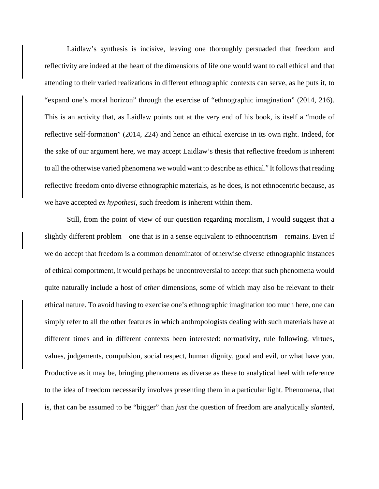Laidlaw's synthesis is incisive, leaving one thoroughly persuaded that freedom and reflectivity are indeed at the heart of the dimensions of life one would want to call ethical and that attending to their varied realizations in different ethnographic contexts can serve, as he puts it, to "expand one's moral horizon" through the exercise of "ethnographic imagination" (2014, 216). This is an activity that, as Laidlaw points out at the very end of his book, is itself a "mode of reflective self-formation" (2014, 224) and hence an ethical exercise in its own right. Indeed, for the sake of our argument here, we may accept Laidlaw's thesis that reflective freedom is inherent to all the otherwise varied phenomena we would want to describe as ethical. If follows that reading reflective freedom onto diverse ethnographic materials, as he does, is not ethnocentric because, as we have accepted *ex hypothesi*, such freedom is inherent within them.

Still, from the point of view of our question regarding moralism, I would suggest that a slightly different problem—one that is in a sense equivalent to ethnocentrism—remains. Even if we do accept that freedom is a common denominator of otherwise diverse ethnographic instances of ethical comportment, it would perhaps be uncontroversial to accept that such phenomena would quite naturally include a host of *other* dimensions, some of which may also be relevant to their ethical nature. To avoid having to exercise one's ethnographic imagination too much here, one can simply refer to all the other features in which anthropologists dealing with such materials have at different times and in different contexts been interested: normativity, rule following, virtues, values, judgements, compulsion, social respect, human dignity, good and evil, or what have you. Productive as it may be, bringing phenomena as diverse as these to analytical heel with reference to the idea of freedom necessarily involves presenting them in a particular light. Phenomena, that is, that can be assumed to be "bigger" than *just* the question of freedom are analytically *slanted*,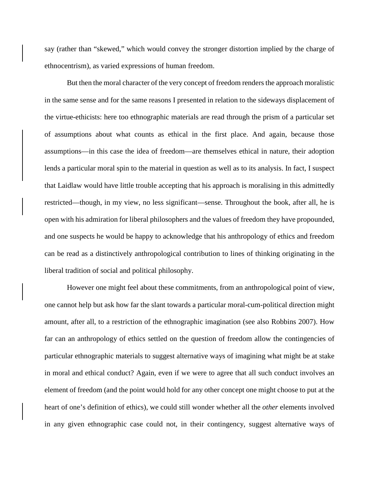say (rather than "skewed," which would convey the stronger distortion implied by the charge of ethnocentrism), as varied expressions of human freedom.

But then the moral character of the very concept of freedom renders the approach moralistic in the same sense and for the same reasons I presented in relation to the sideways displacement of the virtue-ethicists: here too ethnographic materials are read through the prism of a particular set of assumptions about what counts as ethical in the first place. And again, because those assumptions—in this case the idea of freedom—are themselves ethical in nature, their adoption lends a particular moral spin to the material in question as well as to its analysis. In fact, I suspect that Laidlaw would have little trouble accepting that his approach is moralising in this admittedly restricted—though, in my view, no less significant—sense. Throughout the book, after all, he is open with his admiration for liberal philosophers and the values of freedom they have propounded, and one suspects he would be happy to acknowledge that his anthropology of ethics and freedom can be read as a distinctively anthropological contribution to lines of thinking originating in the liberal tradition of social and political philosophy.

However one might feel about these commitments, from an anthropological point of view, one cannot help but ask how far the slant towards a particular moral-cum-political direction might amount, after all, to a restriction of the ethnographic imagination (see also Robbins 2007). How far can an anthropology of ethics settled on the question of freedom allow the contingencies of particular ethnographic materials to suggest alternative ways of imagining what might be at stake in moral and ethical conduct? Again, even if we were to agree that all such conduct involves an element of freedom (and the point would hold for any other concept one might choose to put at the heart of one's definition of ethics), we could still wonder whether all the *other* elements involved in any given ethnographic case could not, in their contingency, suggest alternative ways of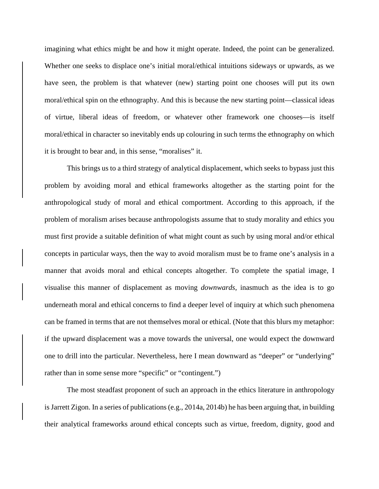imagining what ethics might be and how it might operate. Indeed, the point can be generalized. Whether one seeks to displace one's initial moral/ethical intuitions sideways or upwards, as we have seen, the problem is that whatever (new) starting point one chooses will put its own moral/ethical spin on the ethnography. And this is because the new starting point—classical ideas of virtue, liberal ideas of freedom, or whatever other framework one chooses—is itself moral/ethical in character so inevitably ends up colouring in such terms the ethnography on which it is brought to bear and, in this sense, "moralises" it.

This brings us to a third strategy of analytical displacement, which seeks to bypass just this problem by avoiding moral and ethical frameworks altogether as the starting point for the anthropological study of moral and ethical comportment. According to this approach, if the problem of moralism arises because anthropologists assume that to study morality and ethics you must first provide a suitable definition of what might count as such by using moral and/or ethical concepts in particular ways, then the way to avoid moralism must be to frame one's analysis in a manner that avoids moral and ethical concepts altogether. To complete the spatial image, I visualise this manner of displacement as moving *downwards*, inasmuch as the idea is to go underneath moral and ethical concerns to find a deeper level of inquiry at which such phenomena can be framed in terms that are not themselves moral or ethical. (Note that this blurs my metaphor: if the upward displacement was a move towards the universal, one would expect the downward one to drill into the particular. Nevertheless, here I mean downward as "deeper" or "underlying" rather than in some sense more "specific" or "contingent.")

The most steadfast proponent of such an approach in the ethics literature in anthropology is Jarrett Zigon. In a series of publications (e.g., 2014a, 2014b) he has been arguing that, in building their analytical frameworks around ethical concepts such as virtue, freedom, dignity, good and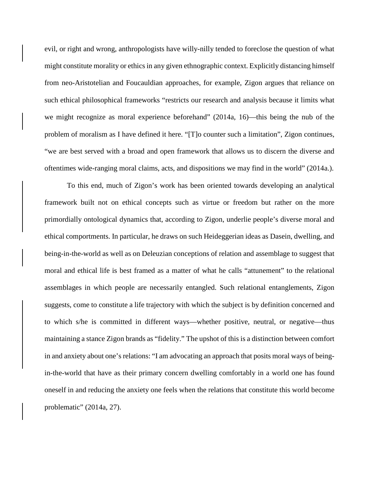evil, or right and wrong, anthropologists have willy-nilly tended to foreclose the question of what might constitute morality or ethics in any given ethnographic context. Explicitly distancing himself from neo-Aristotelian and Foucauldian approaches, for example, Zigon argues that reliance on such ethical philosophical frameworks "restricts our research and analysis because it limits what we might recognize as moral experience beforehand" (2014a, 16)—this being the nub of the problem of moralism as I have defined it here. "[T]o counter such a limitation", Zigon continues, "we are best served with a broad and open framework that allows us to discern the diverse and oftentimes wide-ranging moral claims, acts, and dispositions we may find in the world" (2014a.).

To this end, much of Zigon's work has been oriented towards developing an analytical framework built not on ethical concepts such as virtue or freedom but rather on the more primordially ontological dynamics that, according to Zigon, underlie people's diverse moral and ethical comportments. In particular, he draws on such Heideggerian ideas as Dasein, dwelling, and being-in-the-world as well as on Deleuzian conceptions of relation and assemblage to suggest that moral and ethical life is best framed as a matter of what he calls "attunement" to the relational assemblages in which people are necessarily entangled. Such relational entanglements, Zigon suggests, come to constitute a life trajectory with which the subject is by definition concerned and to which s/he is committed in different ways—whether positive, neutral, or negative—thus maintaining a stance Zigon brands as "fidelity." The upshot of this is a distinction between comfort in and anxiety about one's relations: "I am advocating an approach that posits moral ways of beingin-the-world that have as their primary concern dwelling comfortably in a world one has found oneself in and reducing the anxiety one feels when the relations that constitute this world become problematic" (2014a, 27).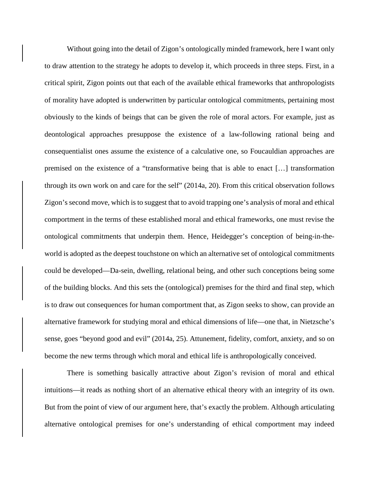Without going into the detail of Zigon's ontologically minded framework, here I want only to draw attention to the strategy he adopts to develop it, which proceeds in three steps. First, in a critical spirit, Zigon points out that each of the available ethical frameworks that anthropologists of morality have adopted is underwritten by particular ontological commitments, pertaining most obviously to the kinds of beings that can be given the role of moral actors. For example, just as deontological approaches presuppose the existence of a law-following rational being and consequentialist ones assume the existence of a calculative one, so Foucauldian approaches are premised on the existence of a "transformative being that is able to enact […] transformation through its own work on and care for the self" (2014a, 20). From this critical observation follows Zigon's second move, which is to suggest that to avoid trapping one's analysis of moral and ethical comportment in the terms of these established moral and ethical frameworks, one must revise the ontological commitments that underpin them. Hence, Heidegger's conception of being-in-theworld is adopted as the deepest touchstone on which an alternative set of ontological commitments could be developed—Da-sein, dwelling, relational being, and other such conceptions being some of the building blocks. And this sets the (ontological) premises for the third and final step, which is to draw out consequences for human comportment that, as Zigon seeks to show, can provide an alternative framework for studying moral and ethical dimensions of life—one that, in Nietzsche's sense, goes "beyond good and evil" (2014a, 25). Attunement, fidelity, comfort, anxiety, and so on become the new terms through which moral and ethical life is anthropologically conceived.

There is something basically attractive about Zigon's revision of moral and ethical intuitions—it reads as nothing short of an alternative ethical theory with an integrity of its own. But from the point of view of our argument here, that's exactly the problem. Although articulating alternative ontological premises for one's understanding of ethical comportment may indeed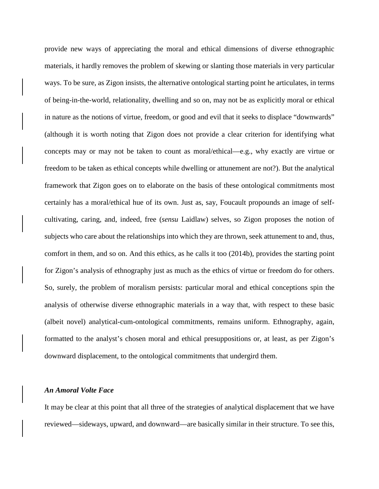provide new ways of appreciating the moral and ethical dimensions of diverse ethnographic materials, it hardly removes the problem of skewing or slanting those materials in very particular ways. To be sure, as Zigon insists, the alternative ontological starting point he articulates, in terms of being-in-the-world, relationality, dwelling and so on, may not be as explicitly moral or ethical in nature as the notions of virtue, freedom, or good and evil that it seeks to displace "downwards" (although it is worth noting that Zigon does not provide a clear criterion for identifying what concepts may or may not be taken to count as moral/ethical—e.g., why exactly are virtue or freedom to be taken as ethical concepts while dwelling or attunement are not?). But the analytical framework that Zigon goes on to elaborate on the basis of these ontological commitments most certainly has a moral/ethical hue of its own. Just as, say, Foucault propounds an image of selfcultivating, caring, and, indeed, free (*sensu* Laidlaw) selves, so Zigon proposes the notion of subjects who care about the relationships into which they are thrown, seek attunement to and, thus, comfort in them, and so on. And this ethics, as he calls it too (2014b), provides the starting point for Zigon's analysis of ethnography just as much as the ethics of virtue or freedom do for others. So, surely, the problem of moralism persists: particular moral and ethical conceptions spin the analysis of otherwise diverse ethnographic materials in a way that, with respect to these basic (albeit novel) analytical-cum-ontological commitments, remains uniform. Ethnography, again, formatted to the analyst's chosen moral and ethical presuppositions or, at least, as per Zigon's downward displacement, to the ontological commitments that undergird them.

## *An Amoral Volte Face*

It may be clear at this point that all three of the strategies of analytical displacement that we have reviewed—sideways, upward, and downward—are basically similar in their structure. To see this,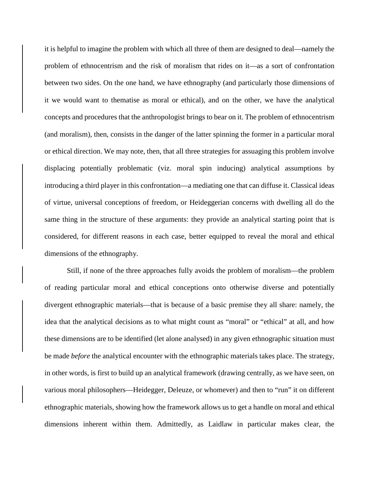it is helpful to imagine the problem with which all three of them are designed to deal—namely the problem of ethnocentrism and the risk of moralism that rides on it—as a sort of confrontation between two sides. On the one hand, we have ethnography (and particularly those dimensions of it we would want to thematise as moral or ethical), and on the other, we have the analytical concepts and procedures that the anthropologist brings to bear on it. The problem of ethnocentrism (and moralism), then, consists in the danger of the latter spinning the former in a particular moral or ethical direction. We may note, then, that all three strategies for assuaging this problem involve displacing potentially problematic (viz. moral spin inducing) analytical assumptions by introducing a third player in this confrontation—a mediating one that can diffuse it. Classical ideas of virtue, universal conceptions of freedom, or Heideggerian concerns with dwelling all do the same thing in the structure of these arguments: they provide an analytical starting point that is considered, for different reasons in each case, better equipped to reveal the moral and ethical dimensions of the ethnography.

Still, if none of the three approaches fully avoids the problem of moralism—the problem of reading particular moral and ethical conceptions onto otherwise diverse and potentially divergent ethnographic materials—that is because of a basic premise they all share: namely, the idea that the analytical decisions as to what might count as "moral" or "ethical" at all, and how these dimensions are to be identified (let alone analysed) in any given ethnographic situation must be made *before* the analytical encounter with the ethnographic materials takes place. The strategy, in other words, is first to build up an analytical framework (drawing centrally, as we have seen, on various moral philosophers—Heidegger, Deleuze, or whomever) and then to "run" it on different ethnographic materials, showing how the framework allows us to get a handle on moral and ethical dimensions inherent within them. Admittedly, as Laidlaw in particular makes clear, the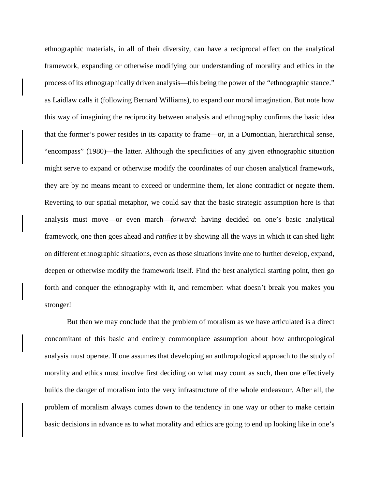ethnographic materials, in all of their diversity, can have a reciprocal effect on the analytical framework, expanding or otherwise modifying our understanding of morality and ethics in the process of its ethnographically driven analysis—this being the power of the "ethnographic stance." as Laidlaw calls it (following Bernard Williams), to expand our moral imagination. But note how this way of imagining the reciprocity between analysis and ethnography confirms the basic idea that the former's power resides in its capacity to frame—or, in a Dumontian, hierarchical sense, "encompass" (1980)—the latter. Although the specificities of any given ethnographic situation might serve to expand or otherwise modify the coordinates of our chosen analytical framework, they are by no means meant to exceed or undermine them, let alone contradict or negate them. Reverting to our spatial metaphor, we could say that the basic strategic assumption here is that analysis must move—or even march—*forward*: having decided on one's basic analytical framework, one then goes ahead and *ratifies* it by showing all the ways in which it can shed light on different ethnographic situations, even as those situations invite one to further develop, expand, deepen or otherwise modify the framework itself. Find the best analytical starting point, then go forth and conquer the ethnography with it, and remember: what doesn't break you makes you stronger!

But then we may conclude that the problem of moralism as we have articulated is a direct concomitant of this basic and entirely commonplace assumption about how anthropological analysis must operate. If one assumes that developing an anthropological approach to the study of morality and ethics must involve first deciding on what may count as such, then one effectively builds the danger of moralism into the very infrastructure of the whole endeavour. After all, the problem of moralism always comes down to the tendency in one way or other to make certain basic decisions in advance as to what morality and ethics are going to end up looking like in one's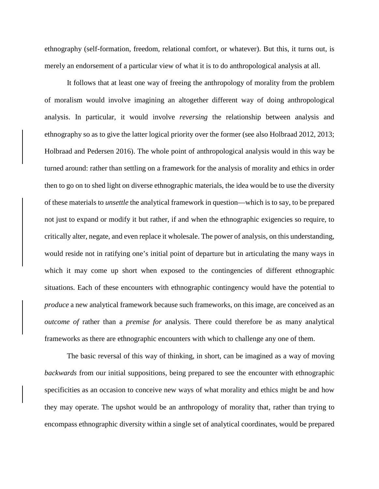ethnography (self-formation, freedom, relational comfort, or whatever). But this, it turns out, is merely an endorsement of a particular view of what it is to do anthropological analysis at all.

It follows that at least one way of freeing the anthropology of morality from the problem of moralism would involve imagining an altogether different way of doing anthropological analysis. In particular, it would involve *reversing* the relationship between analysis and ethnography so as to give the latter logical priority over the former (see also Holbraad 2012, 2013; Holbraad and Pedersen 2016). The whole point of anthropological analysis would in this way be turned around: rather than settling on a framework for the analysis of morality and ethics in order then to go on to shed light on diverse ethnographic materials, the idea would be to use the diversity of these materials to *unsettle* the analytical framework in question—which is to say, to be prepared not just to expand or modify it but rather, if and when the ethnographic exigencies so require, to critically alter, negate, and even replace it wholesale. The power of analysis, on this understanding, would reside not in ratifying one's initial point of departure but in articulating the many ways in which it may come up short when exposed to the contingencies of different ethnographic situations. Each of these encounters with ethnographic contingency would have the potential to *produce* a new analytical framework because such frameworks, on this image, are conceived as an *outcome of* rather than a *premise for* analysis. There could therefore be as many analytical frameworks as there are ethnographic encounters with which to challenge any one of them.

The basic reversal of this way of thinking, in short, can be imagined as a way of moving *backwards* from our initial suppositions, being prepared to see the encounter with ethnographic specificities as an occasion to conceive new ways of what morality and ethics might be and how they may operate. The upshot would be an anthropology of morality that, rather than trying to encompass ethnographic diversity within a single set of analytical coordinates, would be prepared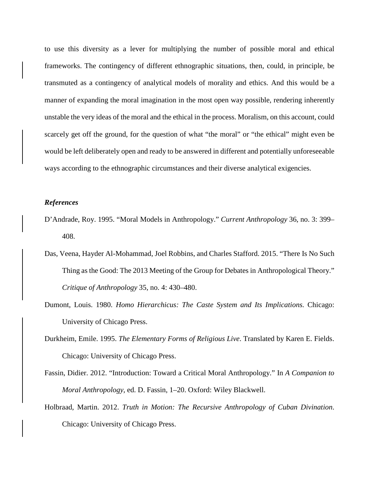to use this diversity as a lever for multiplying the number of possible moral and ethical frameworks. The contingency of different ethnographic situations, then, could, in principle, be transmuted as a contingency of analytical models of morality and ethics. And this would be a manner of expanding the moral imagination in the most open way possible, rendering inherently unstable the very ideas of the moral and the ethical in the process. Moralism, on this account, could scarcely get off the ground, for the question of what "the moral" or "the ethical" might even be would be left deliberately open and ready to be answered in different and potentially unforeseeable ways according to the ethnographic circumstances and their diverse analytical exigencies.

#### *References*

- D'Andrade, Roy. 1995. "Moral Models in Anthropology." *Current Anthropology* 36, no. 3: 399– 408.
- Das, Veena, Hayder Al-Mohammad, Joel Robbins, and Charles Stafford. 2015. "There Is No Such Thing as the Good: The 2013 Meeting of the Group for Debates in Anthropological Theory." *Critique of Anthropology* 35, no. 4: 430–480.
- Dumont, Louis. 1980. *Homo Hierarchicus: The Caste System and Its Implications.* Chicago: University of Chicago Press.
- Durkheim, Emile. 1995. *The Elementary Forms of Religious Live*. Translated by Karen E. Fields. Chicago: University of Chicago Press.
- Fassin, Didier. 2012. "Introduction: Toward a Critical Moral Anthropology." In *A Companion to Moral Anthropology*, ed. D. Fassin, 1–20. Oxford: Wiley Blackwell.
- Holbraad, Martin. 2012. *Truth in Motion: The Recursive Anthropology of Cuban Divination*. Chicago: University of Chicago Press.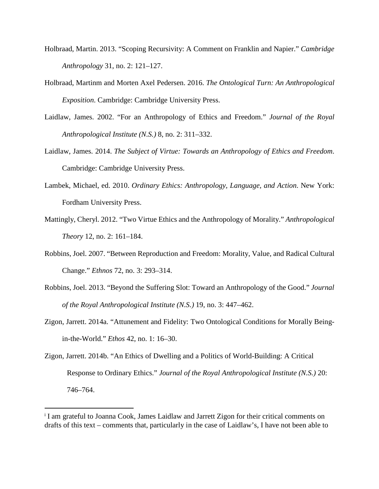- Holbraad, Martin. 2013. "Scoping Recursivity: A Comment on Franklin and Napier." *Cambridge Anthropology* 31, no. 2: 121–127.
- Holbraad, Martinm and Morten Axel Pedersen. 2016. *The Ontological Turn: An Anthropological Exposition*. Cambridge: Cambridge University Press.
- Laidlaw, James. 2002. "For an Anthropology of Ethics and Freedom." *Journal of the Royal Anthropological Institute (N.S.)* 8, no. 2: 311–332.
- Laidlaw, James. 2014. *The Subject of Virtue: Towards an Anthropology of Ethics and Freedom*. Cambridge: Cambridge University Press.
- Lambek, Michael, ed. 2010. *Ordinary Ethics: Anthropology, Language, and Action*. New York: Fordham University Press.
- Mattingly, Cheryl. 2012. "Two Virtue Ethics and the Anthropology of Morality." *Anthropological Theory* 12, no. 2: 161–184.
- Robbins, Joel. 2007. "Between Reproduction and Freedom: Morality, Value, and Radical Cultural Change." *Ethnos* 72, no. 3: 293–314.
- Robbins, Joel. 2013. "Beyond the Suffering Slot: Toward an Anthropology of the Good." *Journal of the Royal Anthropological Institute (N.S.)* 19, no. 3: 447–462.
- Zigon, Jarrett. 2014a. "Attunement and Fidelity: Two Ontological Conditions for Morally Beingin-the-World." *Ethos* 42, no. 1: 16–30.
- Zigon, Jarrett. 2014b. "An Ethics of Dwelling and a Politics of World-Building: A Critical Response to Ordinary Ethics." *Journal of the Royal Anthropological Institute (N.S.)* 20: 746–764.

 $\overline{a}$ 

<sup>&</sup>lt;sup>i</sup> I am grateful to Joanna Cook, James Laidlaw and Jarrett Zigon for their critical comments on drafts of this text – comments that, particularly in the case of Laidlaw's, I have not been able to